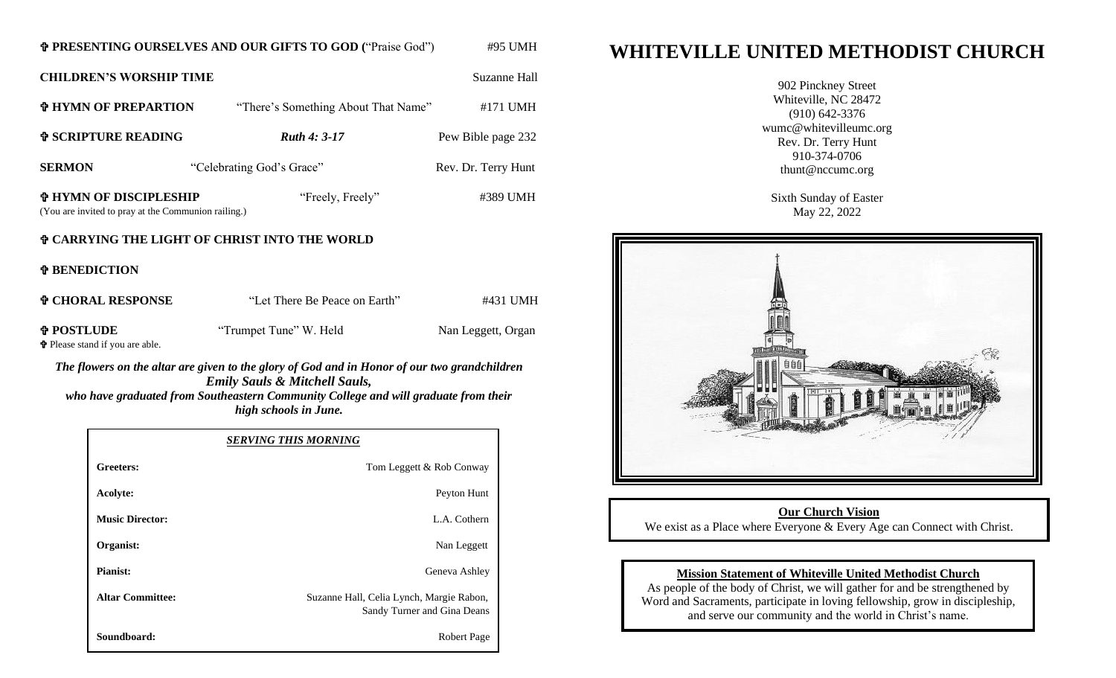## **PRESENTING OURSELVES AND OUR GIFTS TO GOD (**"Praise God")#95 UMH

**CHILDREN'S WORSHIP TIME** Suzanne Hall **HYMN OF PREPARTION** "There's Something About That Name" #171 UMH **f** SCRIPTURE READING *Ruth 4: 3-17* Pew Bible page 232 **SERMON** "Celebrating God's Grace" Rev. Dr. Terry Hunt **HYMN OF DISCIPLESHIP** "Freely, Freely" #389 UMH (You are invited to pray at the Communion railing.)

# **CARRYING THE LIGHT OF CHRIST INTO THE WORLD**

**BENEDICTION**

| <b>¢ CHORAL RESPONSE</b>                                    | "Let There Be Peace on Earth" | #431 UMH           |
|-------------------------------------------------------------|-------------------------------|--------------------|
| <b>† POSTLUDE</b><br><b>P</b> Please stand if you are able. | "Trumpet Tune" W. Held        | Nan Leggett, Organ |

*The flowers on the altar are given to the glory of God and in Honor of our two grandchildren Emily Sauls & Mitchell Sauls, who have graduated from Southeastern Community College and will graduate from their high schools in June.*

|                         | <b>SERVING THIS MORNING</b>                                             |
|-------------------------|-------------------------------------------------------------------------|
| Greeters:               | Tom Leggett & Rob Conway                                                |
| Acolyte:                | Peyton Hunt                                                             |
| <b>Music Director:</b>  | L.A. Cothern                                                            |
| Organist:               | Nan Leggett                                                             |
| <b>Pianist:</b>         | Geneva Ashley                                                           |
| <b>Altar Committee:</b> | Suzanne Hall, Celia Lynch, Margie Rabon,<br>Sandy Turner and Gina Deans |
| Soundboard:             | <b>Robert Page</b>                                                      |

# **WHITEVILLE UNITED METHODIST CHURCH**

902 Pinckney Street Whiteville, NC 28472 (910) 642-3376 wumc@whitevilleumc.org Rev. Dr. Terry Hunt 910-374-0706 thunt@nccumc.org

Sixth Sunday of Easter May 22, 2022



# **Our Church Vision** We exist as a Place where Everyone & Every Age can Connect with Christ.

# **Mission Statement of Whiteville United Methodist Church**

As people of the body of Christ, we will gather for and be strengthened by Word and Sacraments, participate in loving fellowship, grow in discipleship, and serve our community and the world in Christ's name.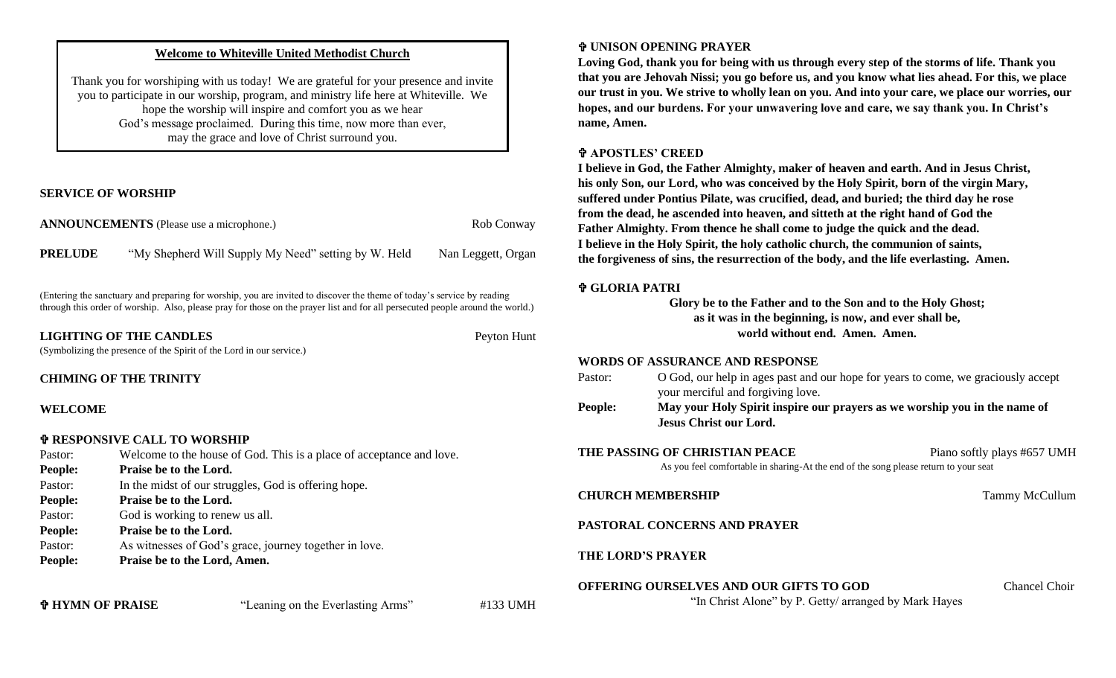## **Welcome to Whiteville United Methodist Church**

Thank you for worshiping with us today! We are grateful for your presence and invite you to participate in our worship, program, and ministry life here at Whiteville. We hope the worship will inspire and comfort you as we hear God's message proclaimed. During this time, now more than ever, may the grace and love of Christ surround you.

## **SERVICE OF WORSHIP**

|                | <b>ANNOUNCEMENTS</b> (Please use a microphone.)      | Rob Conway         |
|----------------|------------------------------------------------------|--------------------|
| <b>PRELUDE</b> | "My Shepherd Will Supply My Need" setting by W. Held | Nan Leggett, Organ |

(Entering the sanctuary and preparing for worship, you are invited to discover the theme of today's service by reading through this order of worship. Also, please pray for those on the prayer list and for all persecuted people around the world.)

**LIGHTING OF THE CANDLES** Peyton Hunt

(Symbolizing the presence of the Spirit of the Lord in our service.)

#### **CHIMING OF THE TRINITY**

## **WELCOME**

## **RESPONSIVE CALL TO WORSHIP**

| Pastor:        | Welcome to the house of God. This is a place of acceptance and love. |
|----------------|----------------------------------------------------------------------|
| <b>People:</b> | Praise be to the Lord.                                               |
| Pastor:        | In the midst of our struggles, God is offering hope.                 |
| <b>People:</b> | Praise be to the Lord.                                               |
| Pastor:        | God is working to renew us all.                                      |
| <b>People:</b> | Praise be to the Lord.                                               |
| Pastor:        | As witnesses of God's grace, journey together in love.               |
| <b>People:</b> | Praise be to the Lord, Amen.                                         |
|                |                                                                      |
|                |                                                                      |

# **HYMN OF PRAISE** "Leaning on the Everlasting Arms" #133 UMH

# **UNISON OPENING PRAYER**

**Loving God, thank you for being with us through every step of the storms of life. Thank you that you are Jehovah Nissi; you go before us, and you know what lies ahead. For this, we place our trust in you. We strive to wholly lean on you. And into your care, we place our worries, our hopes, and our burdens. For your unwavering love and care, we say thank you. In Christ's name, Amen.**

## **APOSTLES' CREED**

**I believe in God, the Father Almighty, maker of heaven and earth. And in Jesus Christ, his only Son, our Lord, who was conceived by the Holy Spirit, born of the virgin Mary, suffered under Pontius Pilate, was crucified, dead, and buried; the third day he rose from the dead, he ascended into heaven, and sitteth at the right hand of God the Father Almighty. From thence he shall come to judge the quick and the dead. I believe in the Holy Spirit, the holy catholic church, the communion of saints, the forgiveness of sins, the resurrection of the body, and the life everlasting. Amen.**

## **GLORIA PATRI**

**Glory be to the Father and to the Son and to the Holy Ghost; as it was in the beginning, is now, and ever shall be, world without end. Amen. Amen.**

## **WORDS OF ASSURANCE AND RESPONSE**

|         | $M_{\rm{max}}$ and $H_{\rm{max}}$ $C_{\rm{max}}$ , $L_{\rm{max}}$ , and a constraint on the constraint $L_{\rm{max}}$ , $L_{\rm{max}}$ , $R$ |
|---------|----------------------------------------------------------------------------------------------------------------------------------------------|
|         | your merciful and forgiving love.                                                                                                            |
| Pastor: | O God, our help in ages past and our hope for years to come, we graciously accept                                                            |

**People: May your Holy Spirit inspire our prayers as we worship you in the name of Jesus Christ our Lord.**

**THE PASSING OF CHRISTIAN PEACE** Piano softly plays #657 UMH As you feel comfortable in sharing-At the end of the song please return to your seat

**CHURCH MEMBERSHIP** Tammy McCullum

# **PASTORAL CONCERNS AND PRAYER**

## **THE LORD'S PRAYER**

**OFFERING OURSELVES AND OUR GIFTS TO GOD** Chancel Choir

"In Christ Alone" by P. Getty/ arranged by Mark Hayes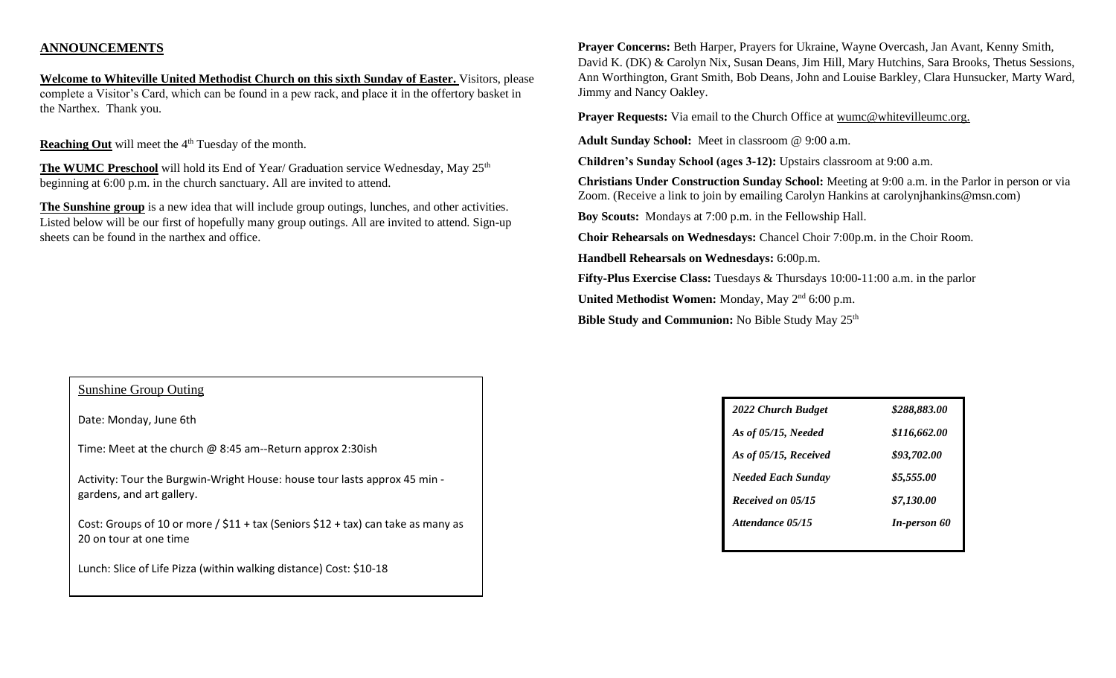# **ANNOUNCEMENTS**

**Welcome to Whiteville United Methodist Church on this sixth Sunday of Easter.** Visitors, please complete a Visitor's Card, which can be found in a pew rack, and place it in the offertory basket in the Narthex. Thank you.

**Reaching Out** will meet the 4<sup>th</sup> Tuesday of the month.

**The WUMC Preschool** will hold its End of Year/ Graduation service Wednesday, May 25<sup>th</sup> beginning at 6:00 p.m. in the church sanctuary. All are invited to attend.

**The Sunshine group** is a new idea that will include group outings, lunches, and other activities. Listed below will be our first of hopefully many group outings. All are invited to attend. Sign-up sheets can be found in the narthex and office.

Sunshine Group Outing

Date: Monday, June 6th

Time: Meet at the church @ 8:45 am--Return approx 2:30ish

Activity: Tour the Burgwin-Wright House: house tour lasts approx 45 min gardens, and art gallery.

Cost: Groups of 10 or more /  $$11 + tax$  (Seniors  $$12 + tax$ ) can take as many as 20 on tour at one time

Lunch: Slice of Life Pizza (within walking distance) Cost: \$10-18

**Prayer Concerns:** Beth Harper, Prayers for Ukraine, Wayne Overcash, Jan Avant, Kenny Smith, David K. (DK) & Carolyn Nix, Susan Deans, Jim Hill, Mary Hutchins, Sara Brooks, Thetus Sessions, Ann Worthington, Grant Smith, Bob Deans, John and Louise Barkley, Clara Hunsucker, Marty Ward, Jimmy and Nancy Oakley.

**Prayer Requests:** Via email to the Church Office at wumc@whitevilleumc.org.

**Adult Sunday School:** Meet in classroom @ 9:00 a.m.

**Children's Sunday School (ages 3-12):** Upstairs classroom at 9:00 a.m.

**Christians Under Construction Sunday School:** Meeting at 9:00 a.m. in the Parlor in person or via Zoom. (Receive a link to join by emailing Carolyn Hankins at carolynjhankins@msn.com)

**Boy Scouts:** Mondays at 7:00 p.m. in the Fellowship Hall.

**Choir Rehearsals on Wednesdays:** Chancel Choir 7:00p.m. in the Choir Room.

**Handbell Rehearsals on Wednesdays:** 6:00p.m.

**Fifty-Plus Exercise Class:** Tuesdays & Thursdays 10:00-11:00 a.m. in the parlor

United Methodist Women: Monday, May 2<sup>nd</sup> 6:00 p.m.

**Bible Study and Communion:** No Bible Study May 25<sup>th</sup>

| \$288,883.00        |
|---------------------|
| \$116,662.00        |
| \$93,702.00         |
| \$5,555.00          |
| \$7,130.00          |
| <b>In-person 60</b> |
|                     |